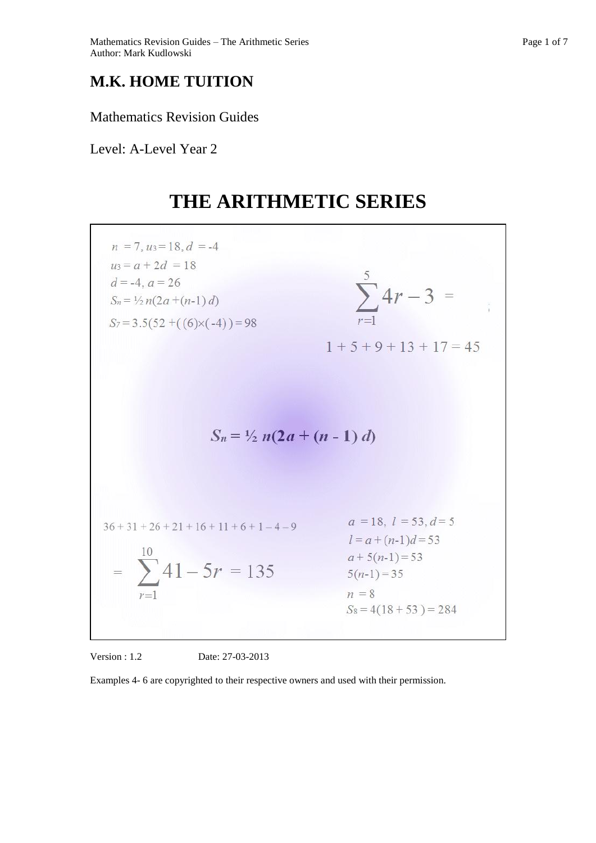## **M.K. HOME TUITION**

Mathematics Revision Guides

Level: A-Level Year 2

# **THE ARITHMETIC SERIES**



Version : 1.2 Date: 27-03-2013

Examples 4- 6 are copyrighted to their respective owners and used with their permission.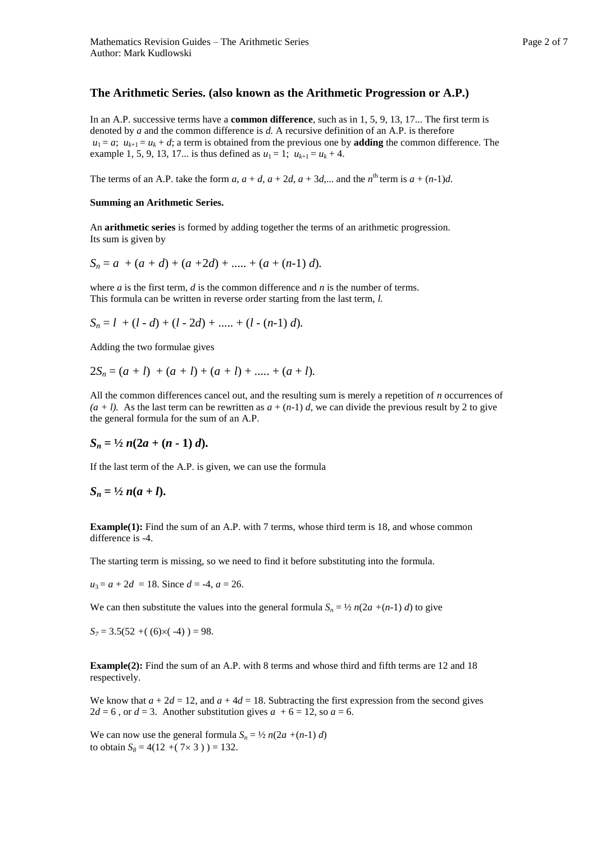In an A.P. successive terms have a **common difference**, such as in 1, 5, 9, 13, 17... The first term is denoted by *a* and the common difference is *d.* A recursive definition of an A.P. is therefore  $u_1 = a$ ;  $u_{k+1} = u_k + d$ ; a term is obtained from the previous one by **adding** the common difference. The example 1, 5, 9, 13, 17... is thus defined as  $u_1 = 1$ ;  $u_{k+1} = u_k + 4$ .

The terms of an A.P. take the form  $a, a + d, a + 2d, a + 3d, ...$  and the  $n^{\text{th}}$  term is  $a + (n-1)d$ .

#### **Summing an Arithmetic Series.**

An **arithmetic series** is formed by adding together the terms of an arithmetic progression. Its sum is given by

$$
S_n = a + (a + d) + (a + 2d) + \dots + (a + (n-1)d).
$$

where *a* is the first term, *d* is the common difference and *n* is the number of terms. This formula can be written in reverse order starting from the last term, *l.*

$$
S_n = l + (l - d) + (l - 2d) + \dots + (l - (n-1) d).
$$

Adding the two formulae gives

$$
2S_n = (a + l) + (a + l) + (a + l) + \dots + (a + l).
$$

All the common differences cancel out, and the resulting sum is merely a repetition of *n* occurrences of  $(a + l)$ . As the last term can be rewritten as  $a + (n-1)$  *d*, we can divide the previous result by 2 to give the general formula for the sum of an A.P.

$$
S_n = \frac{1}{2} n(2a + (n-1)d).
$$

If the last term of the A.P. is given, we can use the formula

#### $S_n = \frac{1}{2} n (a + l).$

**Example(1):** Find the sum of an A.P. with 7 terms, whose third term is 18, and whose common difference is -4.

The starting term is missing, so we need to find it before substituting into the formula.

 $u_3 = a + 2d = 18$ . Since  $d = -4$ ,  $a = 26$ .

We can then substitute the values into the general formula  $S_n = \frac{1}{2} n(2a + (n-1) d)$  to give

$$
S_7 = 3.5(52 + (6) \times (-4)) = 98.
$$

**Example(2):** Find the sum of an A.P. with 8 terms and whose third and fifth terms are 12 and 18 respectively.

We know that  $a + 2d = 12$ , and  $a + 4d = 18$ . Subtracting the first expression from the second gives  $2d = 6$ , or  $d = 3$ . Another substitution gives  $a + 6 = 12$ , so  $a = 6$ .

We can now use the general formula  $S_n = \frac{1}{2} n(2a + (n-1) d)$ to obtain  $S_8 = 4(12 + (7 \times 3)) = 132$ .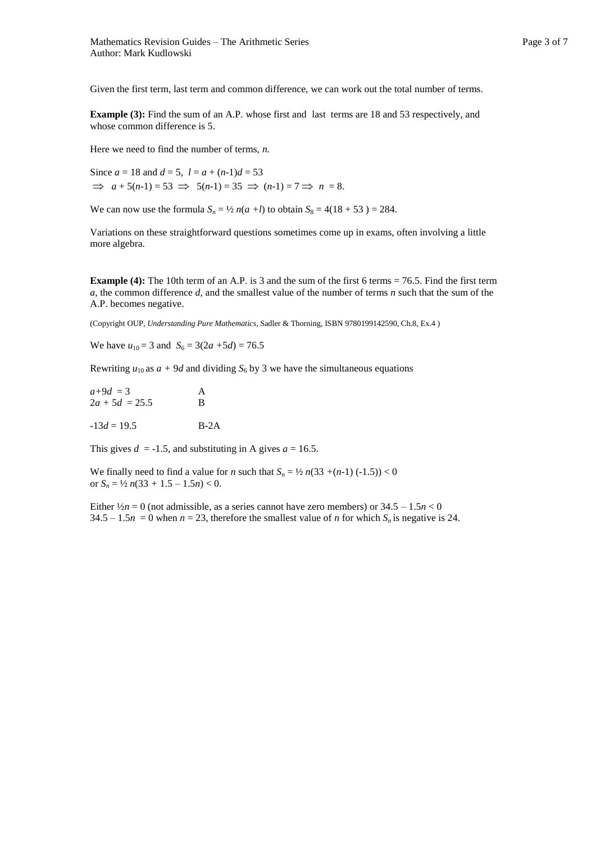Given the first term, last term and common difference, we can work out the total number of terms.

**Example (3):** Find the sum of an A.P. whose first and last terms are 18 and 53 respectively, and whose common difference is 5.

Here we need to find the number of terms, *n.* 

Since  $a = 18$  and  $d = 5$ ,  $l = a + (n-1)d = 53$  $\Rightarrow$   $a + 5(n-1) = 53 \Rightarrow 5(n-1) = 35 \Rightarrow (n-1) = 7 \Rightarrow n = 8.$ 

We can now use the formula  $S_n = \frac{1}{2} n(a+l)$  to obtain  $S_8 = 4(18 + 53) = 284$ .

Variations on these straightforward questions sometimes come up in exams, often involving a little more algebra.

**Example (4):** The 10th term of an A.P. is 3 and the sum of the first 6 terms = 76.5. Find the first term *a*, the common difference *d*, and the smallest value of the number of terms *n* such that the sum of the A.P. becomes negative.

(Copyright OUP, *Understanding Pure Mathematics*, Sadler & Thorning, ISBN 9780199142590, Ch.8, Ex.4 )

We have  $u_{10} = 3$  and  $S_6 = 3(2a + 5d) = 76.5$ 

Rewriting  $u_{10}$  as  $a + 9d$  and dividing  $S_6$  by 3 we have the simultaneous equations

| $a+9d = 3$       | A |
|------------------|---|
| $2a + 5d = 25.5$ | B |
|                  |   |

 $-13d = 19.5$  B-2A

This gives  $d = -1.5$ , and substituting in A gives  $a = 16.5$ .

We finally need to find a value for *n* such that  $S_n = \frac{1}{2} n(33 + (n-1) (-1.5)) < 0$ or  $S_n = \frac{1}{2} n(33 + 1.5 - 1.5n) < 0$ .

Either  $\frac{1}{2}n = 0$  (not admissible, as a series cannot have zero members) or  $34.5 - 1.5n < 0$ 34.5 – 1.5*n* = 0 when *n* = 23, therefore the smallest value of *n* for which  $S_n$  is negative is 24.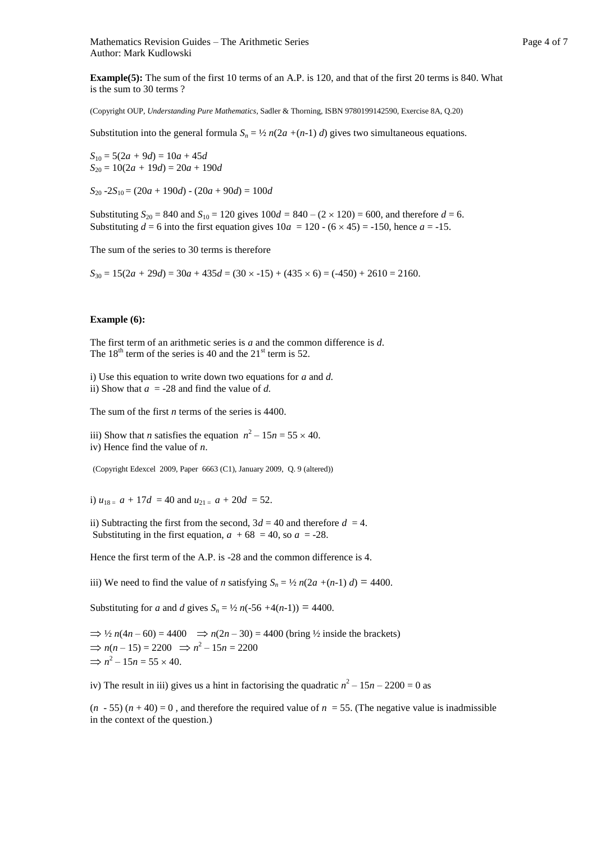**Example(5):** The sum of the first 10 terms of an A.P. is 120, and that of the first 20 terms is 840. What is the sum to 30 terms ?

(Copyright OUP, *Understanding Pure Mathematics*, Sadler & Thorning, ISBN 9780199142590, Exercise 8A, Q.20)

Substitution into the general formula  $S_n = \frac{1}{2} n(2a + (n-1) d)$  gives two simultaneous equations.

 $S_{10} = 5(2a + 9d) = 10a + 45d$  $S_{20} = 10(2a + 19d) = 20a + 190d$ 

 $S_{20}$  -2*S*<sub>10</sub> = (20*a* + 190*d*) - (20*a* + 90*d*) = 100*d* 

Substituting  $S_{20} = 840$  and  $S_{10} = 120$  gives  $100d = 840 - (2 \times 120) = 600$ , and therefore  $d = 6$ . Substituting  $d = 6$  into the first equation gives  $10a = 120 - (6 \times 45) = -150$ , hence  $a = -15$ .

The sum of the series to 30 terms is therefore

 $S_{30} = 15(2a + 29d) = 30a + 435d = (30 \times -15) + (435 \times 6) = (-450) + 2610 = 2160.$ 

#### **Example (6):**

The first term of an arithmetic series is *a* and the common difference is *d*. The  $18<sup>th</sup>$  term of the series is 40 and the  $21<sup>st</sup>$  term is 52.

i) Use this equation to write down two equations for *a* and *d.*  ii) Show that  $a = -28$  and find the value of *d*.

The sum of the first *n* terms of the series is 4400.

iii) Show that *n* satisfies the equation  $n^2 - 15n = 55 \times 40$ . iv) Hence find the value of *n*.

(Copyright Edexcel 2009, Paper 6663 (C1), January 2009, Q. 9 (altered))

i)  $u_{18} = a + 17d = 40$  and  $u_{21} = a + 20d = 52$ .

ii) Subtracting the first from the second,  $3d = 40$  and therefore  $d = 4$ . Substituting in the first equation,  $a + 68 = 40$ , so  $a = -28$ .

Hence the first term of the A.P. is -28 and the common difference is 4.

iii) We need to find the value of *n* satisfying  $S_n = \frac{1}{2} n(2a + (n-1) d) = 4400$ .

Substituting for *a* and *d* gives  $S_n = \frac{1}{2}n(-56 + 4(n-1)) = 4400$ .

 $\Rightarrow$  1/2  $n(4n - 60) = 4400$   $\Rightarrow$   $n(2n - 30) = 4400$  (bring 1/2 inside the brackets)  $\Rightarrow$  *n*(*n* – 15) = 2200  $\Rightarrow$  *n*<sup>2</sup> – 15*n* = 2200  $\Rightarrow$   $n^2 - 15n = 55 \times 40$ .

iv) The result in iii) gives us a hint in factorising the quadratic  $n^2 - 15n - 2200 = 0$  as

 $(n - 55)$   $(n + 40) = 0$ , and therefore the required value of  $n = 55$ . (The negative value is inadmissible in the context of the question.)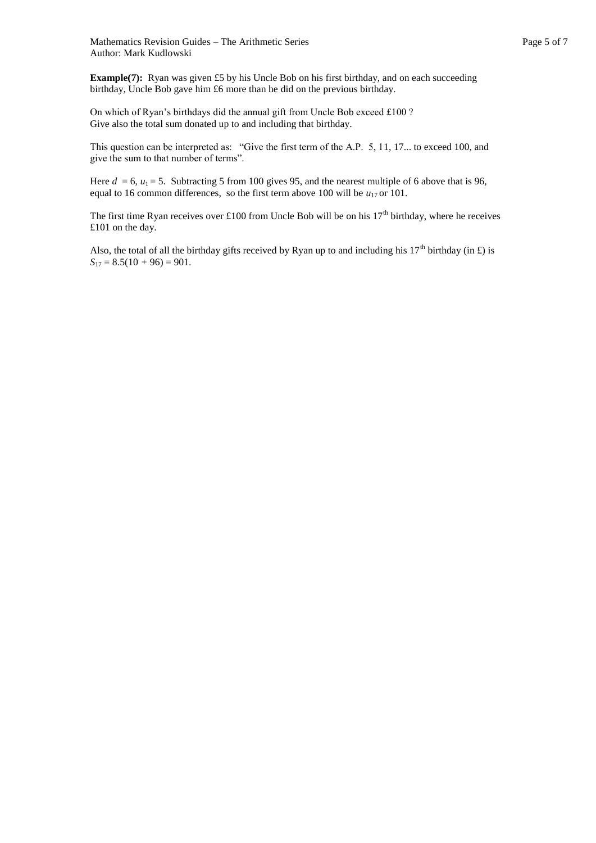**Example(7):** Ryan was given £5 by his Uncle Bob on his first birthday, and on each succeeding birthday, Uncle Bob gave him £6 more than he did on the previous birthday.

On which of Ryan's birthdays did the annual gift from Uncle Bob exceed £100 ? Give also the total sum donated up to and including that birthday.

This question can be interpreted as: "Give the first term of the A.P. 5, 11, 17... to exceed 100, and give the sum to that number of terms".

Here  $d = 6$ ,  $u_1 = 5$ . Subtracting 5 from 100 gives 95, and the nearest multiple of 6 above that is 96, equal to 16 common differences, so the first term above 100 will be  $u_{17}$  or 101.

The first time Ryan receives over £100 from Uncle Bob will be on his  $17<sup>th</sup>$  birthday, where he receives £101 on the day.

Also, the total of all the birthday gifts received by Ryan up to and including his  $17<sup>th</sup>$  birthday (in £) is  $S_{17} = 8.5(10 + 96) = 901.$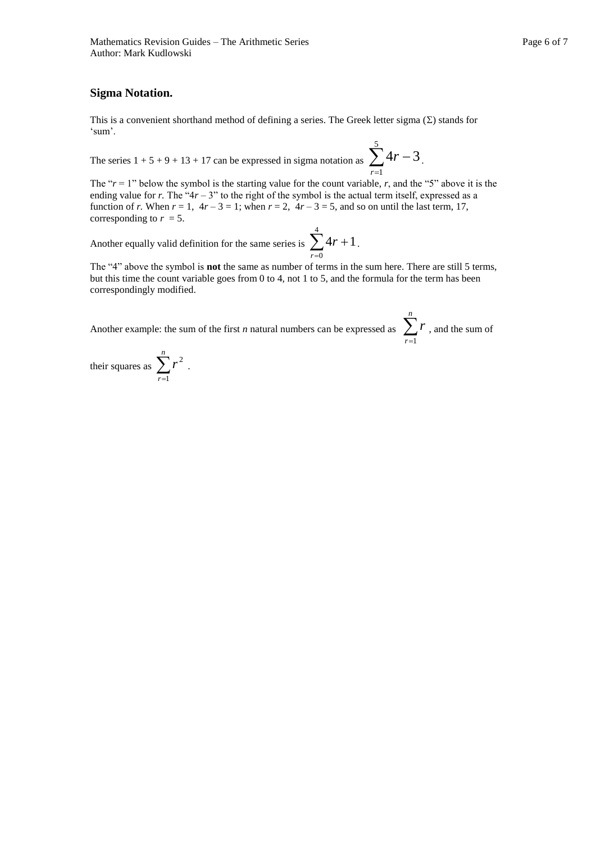### **Sigma Notation.**

This is a convenient shorthand method of defining a series. The Greek letter sigma  $(\Sigma)$  stands for 'sum'.

The series  $1 + 5 + 9 + 13 + 17$  can be expressed in sigma notation as  $\sum_{r=1}$ 5 1  $4r - 3$ *r*  $r - 3$ .

The " $r = 1$ " below the symbol is the starting value for the count variable,  $r$ , and the "5" above it is the ending value for *r*. The " $4r - 3$ " to the right of the symbol is the actual term itself, expressed as a function of *r*. When  $r = 1$ ,  $4r - 3 = 1$ ; when  $r = 2$ ,  $4r - 3 = 5$ , and so on until the last term, 17, corresponding to  $r = 5$ .

Another equally valid definition for the same series is  $\sum_{r=0} 4r +$ 4  $\mathbf{0}$  $4r + 1$ *r*  $r + 1$ .

The "4" above the symbol is **not** the same as number of terms in the sum here. There are still 5 terms, but this time the count variable goes from 0 to 4, not 1 to 5, and the formula for the term has been correspondingly modified.

Another example: the sum of the first *n* natural numbers can be expressed as  $\sum_{r=1}^{n}$ *r r* 1 , and the sum of

their squares as  $\sum_{r=1}^{n}$ *r r* 1 2 .